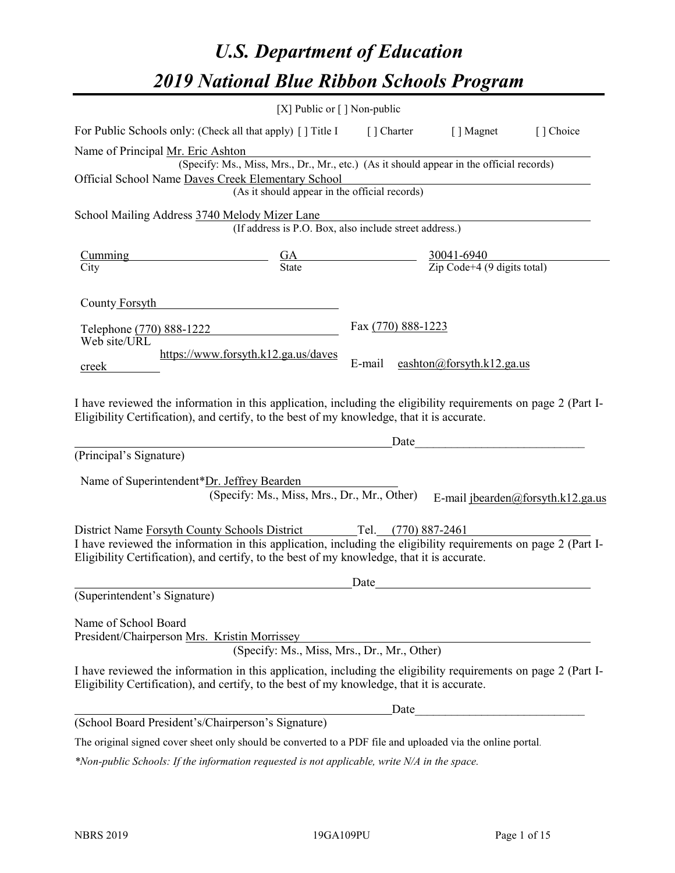# *U.S. Department of Education 2019 National Blue Ribbon Schools Program*

|                                                                                                                                                                                                                                                                                                                                 | [X] Public or $\lceil$ ] Non-public                                                                                                       |                    |                                                                 |                                   |
|---------------------------------------------------------------------------------------------------------------------------------------------------------------------------------------------------------------------------------------------------------------------------------------------------------------------------------|-------------------------------------------------------------------------------------------------------------------------------------------|--------------------|-----------------------------------------------------------------|-----------------------------------|
| For Public Schools only: (Check all that apply) [ ] Title I                                                                                                                                                                                                                                                                     |                                                                                                                                           | [] Charter         | [ ] Magnet                                                      | [] Choice                         |
| Name of Principal Mr. Eric Ashton<br>Official School Name Daves Creek Elementary School                                                                                                                                                                                                                                         | (Specify: Ms., Miss, Mrs., Dr., Mr., etc.) (As it should appear in the official records)<br>(As it should appear in the official records) |                    |                                                                 |                                   |
| School Mailing Address 3740 Melody Mizer Lane                                                                                                                                                                                                                                                                                   | (If address is P.O. Box, also include street address.)                                                                                    |                    |                                                                 |                                   |
| <u>Cumming</u><br>City                                                                                                                                                                                                                                                                                                          | $\frac{GA}{State}$                                                                                                                        |                    | $\frac{30041-6940}{\text{Zip Code}+4 (9 \text{ digits total})}$ |                                   |
| County Forsyth                                                                                                                                                                                                                                                                                                                  |                                                                                                                                           |                    |                                                                 |                                   |
| Telephone (770) 888-1222<br>Web site/URL                                                                                                                                                                                                                                                                                        |                                                                                                                                           | Fax (770) 888-1223 |                                                                 |                                   |
| creek                                                                                                                                                                                                                                                                                                                           | https://www.forsyth.k12.ga.us/daves                                                                                                       | E-mail             | eashton@forsyth.k12.ga.us                                       |                                   |
| I have reviewed the information in this application, including the eligibility requirements on page 2 (Part I-<br>Eligibility Certification), and certify, to the best of my knowledge, that it is accurate.                                                                                                                    |                                                                                                                                           |                    |                                                                 |                                   |
| (Principal's Signature)                                                                                                                                                                                                                                                                                                         |                                                                                                                                           | Date               |                                                                 |                                   |
| Name of Superintendent*Dr. Jeffrey Bearden<br>District Name Forsyth County Schools District Tel. (770) 887-2461<br>I have reviewed the information in this application, including the eligibility requirements on page 2 (Part I-<br>Eligibility Certification), and certify, to the best of my knowledge, that it is accurate. | (Specify: Ms., Miss, Mrs., Dr., Mr., Other)                                                                                               |                    |                                                                 | E-mail jbearden@forsyth.k12.ga.us |
|                                                                                                                                                                                                                                                                                                                                 |                                                                                                                                           | Date               |                                                                 |                                   |
| (Superintendent's Signature)                                                                                                                                                                                                                                                                                                    |                                                                                                                                           |                    |                                                                 |                                   |
| Name of School Board<br>President/Chairperson Mrs. Kristin Morrissey                                                                                                                                                                                                                                                            | (Specify: Ms., Miss, Mrs., Dr., Mr., Other)                                                                                               |                    |                                                                 |                                   |
| I have reviewed the information in this application, including the eligibility requirements on page 2 (Part I-<br>Eligibility Certification), and certify, to the best of my knowledge, that it is accurate.                                                                                                                    |                                                                                                                                           |                    |                                                                 |                                   |
|                                                                                                                                                                                                                                                                                                                                 |                                                                                                                                           | Date               |                                                                 |                                   |
| (School Board President's/Chairperson's Signature)                                                                                                                                                                                                                                                                              |                                                                                                                                           |                    |                                                                 |                                   |
| The original signed cover sheet only should be converted to a PDF file and uploaded via the online portal.                                                                                                                                                                                                                      |                                                                                                                                           |                    |                                                                 |                                   |

*\*Non-public Schools: If the information requested is not applicable, write N/A in the space.*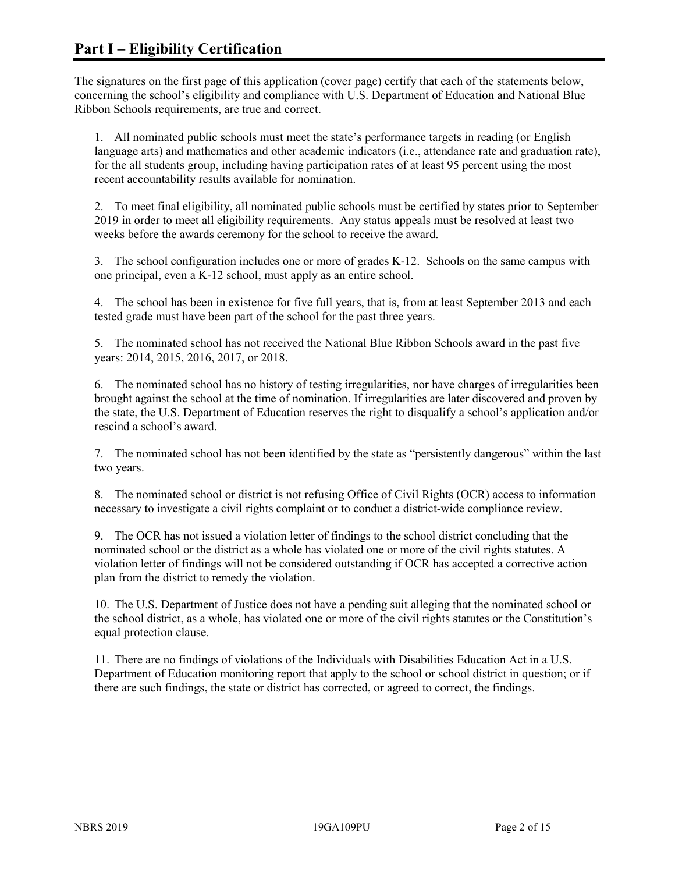The signatures on the first page of this application (cover page) certify that each of the statements below, concerning the school's eligibility and compliance with U.S. Department of Education and National Blue Ribbon Schools requirements, are true and correct.

1. All nominated public schools must meet the state's performance targets in reading (or English language arts) and mathematics and other academic indicators (i.e., attendance rate and graduation rate), for the all students group, including having participation rates of at least 95 percent using the most recent accountability results available for nomination.

2. To meet final eligibility, all nominated public schools must be certified by states prior to September 2019 in order to meet all eligibility requirements. Any status appeals must be resolved at least two weeks before the awards ceremony for the school to receive the award.

3. The school configuration includes one or more of grades K-12. Schools on the same campus with one principal, even a K-12 school, must apply as an entire school.

4. The school has been in existence for five full years, that is, from at least September 2013 and each tested grade must have been part of the school for the past three years.

5. The nominated school has not received the National Blue Ribbon Schools award in the past five years: 2014, 2015, 2016, 2017, or 2018.

6. The nominated school has no history of testing irregularities, nor have charges of irregularities been brought against the school at the time of nomination. If irregularities are later discovered and proven by the state, the U.S. Department of Education reserves the right to disqualify a school's application and/or rescind a school's award.

7. The nominated school has not been identified by the state as "persistently dangerous" within the last two years.

8. The nominated school or district is not refusing Office of Civil Rights (OCR) access to information necessary to investigate a civil rights complaint or to conduct a district-wide compliance review.

9. The OCR has not issued a violation letter of findings to the school district concluding that the nominated school or the district as a whole has violated one or more of the civil rights statutes. A violation letter of findings will not be considered outstanding if OCR has accepted a corrective action plan from the district to remedy the violation.

10. The U.S. Department of Justice does not have a pending suit alleging that the nominated school or the school district, as a whole, has violated one or more of the civil rights statutes or the Constitution's equal protection clause.

11. There are no findings of violations of the Individuals with Disabilities Education Act in a U.S. Department of Education monitoring report that apply to the school or school district in question; or if there are such findings, the state or district has corrected, or agreed to correct, the findings.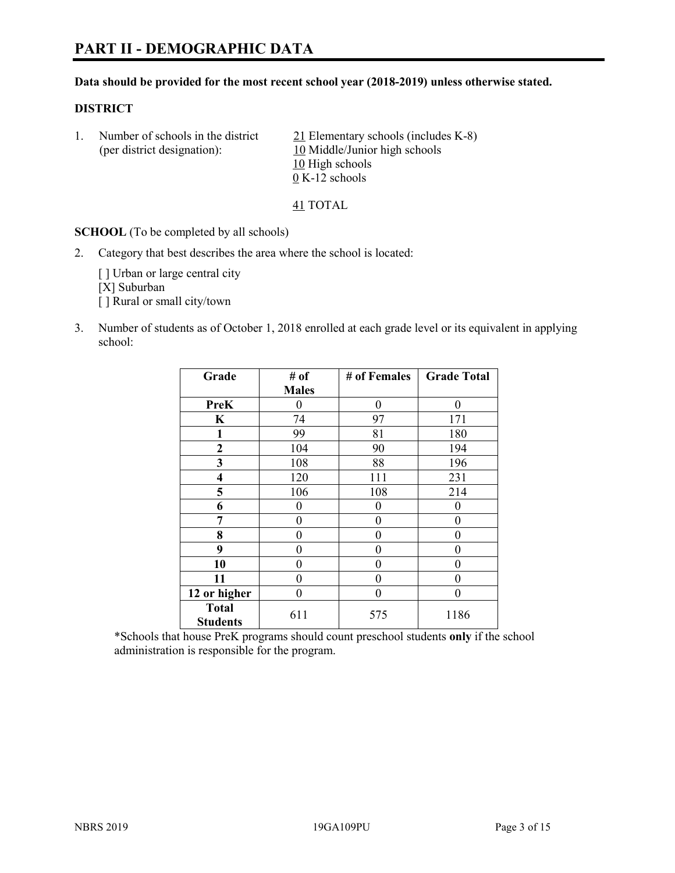# **PART II - DEMOGRAPHIC DATA**

#### **Data should be provided for the most recent school year (2018-2019) unless otherwise stated.**

#### **DISTRICT**

1. Number of schools in the district 21 Elementary schools (includes K-8) (per district designation): 10 Middle/Junior high schools 10 High schools 0 K-12 schools

41 TOTAL

**SCHOOL** (To be completed by all schools)

2. Category that best describes the area where the school is located:

[ ] Urban or large central city [X] Suburban [] Rural or small city/town

3. Number of students as of October 1, 2018 enrolled at each grade level or its equivalent in applying school:

| Grade                           | # of         | # of Females | <b>Grade Total</b> |
|---------------------------------|--------------|--------------|--------------------|
|                                 | <b>Males</b> |              |                    |
| PreK                            | 0            | $\theta$     | 0                  |
| $\mathbf K$                     | 74           | 97           | 171                |
| 1                               | 99           | 81           | 180                |
| 2                               | 104          | 90           | 194                |
| 3                               | 108          | 88           | 196                |
| $\overline{\mathbf{4}}$         | 120          | 111          | 231                |
| 5                               | 106          | 108          | 214                |
| 6                               | 0            | $\theta$     | 0                  |
| 7                               | 0            | $\theta$     | 0                  |
| 8                               | 0            | $\theta$     | 0                  |
| 9                               | 0            | $\theta$     | 0                  |
| 10                              | 0            | $\theta$     | 0                  |
| 11                              | 0            | 0            | 0                  |
| 12 or higher                    | 0            | $\theta$     | 0                  |
| <b>Total</b><br><b>Students</b> | 611          | 575          | 1186               |

\*Schools that house PreK programs should count preschool students **only** if the school administration is responsible for the program.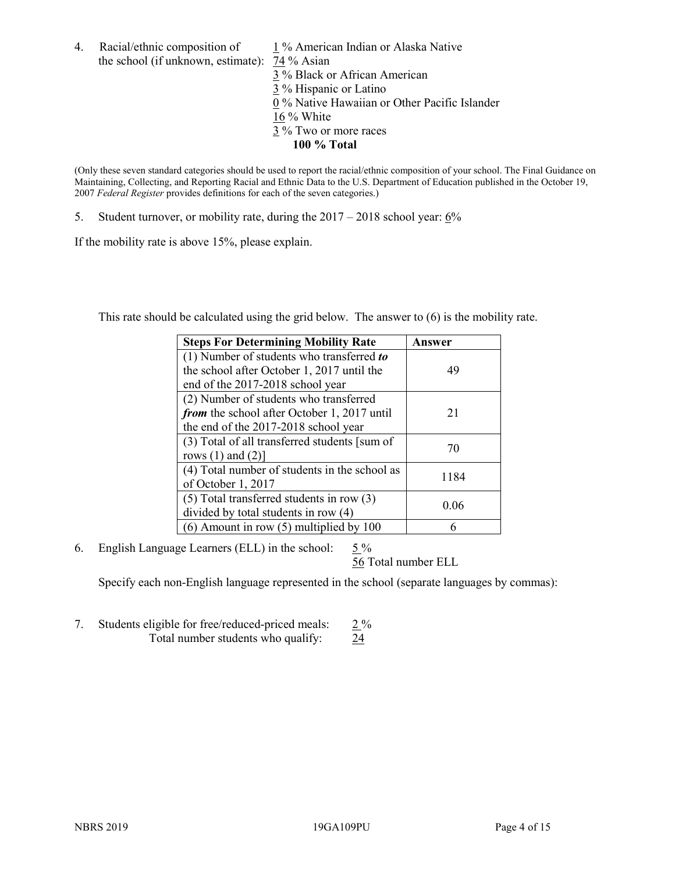the school (if unknown, estimate): 74 % Asian

4. Racial/ethnic composition of  $1\%$  American Indian or Alaska Native 3 % Black or African American 3 % Hispanic or Latino 0 % Native Hawaiian or Other Pacific Islander 16 % White 3 % Two or more races **100 % Total**

(Only these seven standard categories should be used to report the racial/ethnic composition of your school. The Final Guidance on Maintaining, Collecting, and Reporting Racial and Ethnic Data to the U.S. Department of Education published in the October 19, 2007 *Federal Register* provides definitions for each of the seven categories.)

5. Student turnover, or mobility rate, during the 2017 – 2018 school year: 6%

If the mobility rate is above 15%, please explain.

This rate should be calculated using the grid below. The answer to (6) is the mobility rate.

| <b>Steps For Determining Mobility Rate</b>    | Answer |
|-----------------------------------------------|--------|
| (1) Number of students who transferred to     |        |
| the school after October 1, 2017 until the    | 49     |
| end of the 2017-2018 school year              |        |
| (2) Number of students who transferred        |        |
| from the school after October 1, 2017 until   | 21     |
| the end of the 2017-2018 school year          |        |
| (3) Total of all transferred students [sum of | 70     |
| rows $(1)$ and $(2)$ ]                        |        |
| (4) Total number of students in the school as |        |
| of October 1, 2017                            | 1184   |
| $(5)$ Total transferred students in row $(3)$ |        |
| divided by total students in row (4)          | 0.06   |
| $(6)$ Amount in row $(5)$ multiplied by 100   |        |

6. English Language Learners (ELL) in the school:  $5\%$ 

56 Total number ELL

Specify each non-English language represented in the school (separate languages by commas):

7. Students eligible for free/reduced-priced meals: 2 % Total number students who qualify: 24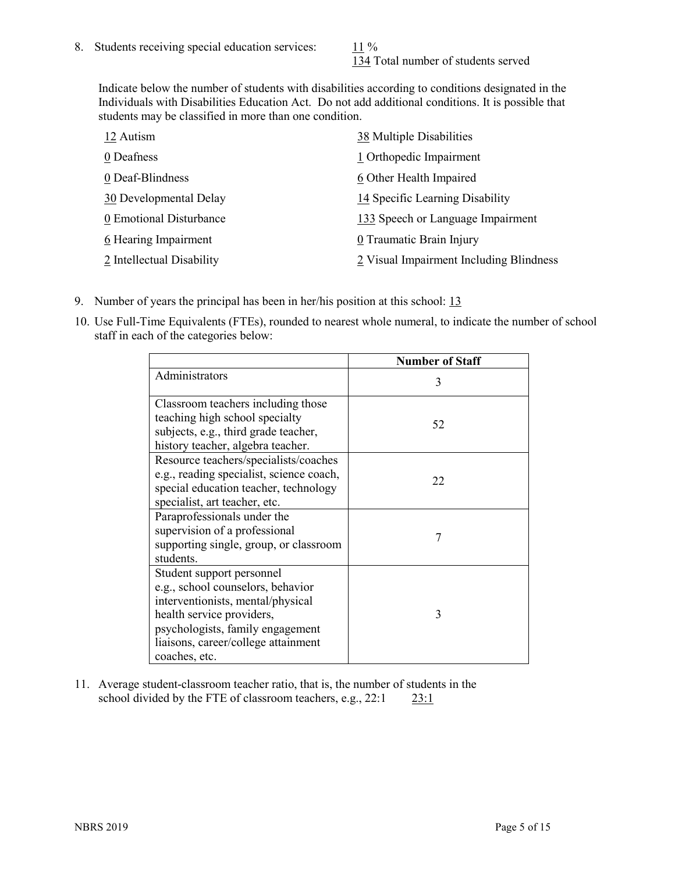134 Total number of students served

Indicate below the number of students with disabilities according to conditions designated in the Individuals with Disabilities Education Act. Do not add additional conditions. It is possible that students may be classified in more than one condition.

| 12 Autism                 | 38 Multiple Disabilities                |
|---------------------------|-----------------------------------------|
| 0 Deafness                | 1 Orthopedic Impairment                 |
| 0 Deaf-Blindness          | 6 Other Health Impaired                 |
| 30 Developmental Delay    | 14 Specific Learning Disability         |
| 0 Emotional Disturbance   | 133 Speech or Language Impairment       |
| 6 Hearing Impairment      | 0 Traumatic Brain Injury                |
| 2 Intellectual Disability | 2 Visual Impairment Including Blindness |

- 9. Number of years the principal has been in her/his position at this school: 13
- 10. Use Full-Time Equivalents (FTEs), rounded to nearest whole numeral, to indicate the number of school staff in each of the categories below:

|                                                                                                                                                                                                                              | <b>Number of Staff</b> |
|------------------------------------------------------------------------------------------------------------------------------------------------------------------------------------------------------------------------------|------------------------|
| Administrators                                                                                                                                                                                                               | 3                      |
| Classroom teachers including those<br>teaching high school specialty<br>subjects, e.g., third grade teacher,<br>history teacher, algebra teacher.                                                                            | 52                     |
| Resource teachers/specialists/coaches<br>e.g., reading specialist, science coach,<br>special education teacher, technology<br>specialist, art teacher, etc.                                                                  | 22                     |
| Paraprofessionals under the<br>supervision of a professional<br>supporting single, group, or classroom<br>students.                                                                                                          | 7                      |
| Student support personnel<br>e.g., school counselors, behavior<br>interventionists, mental/physical<br>health service providers,<br>psychologists, family engagement<br>liaisons, career/college attainment<br>coaches, etc. | 3                      |

11. Average student-classroom teacher ratio, that is, the number of students in the school divided by the FTE of classroom teachers, e.g., 22:1 23:1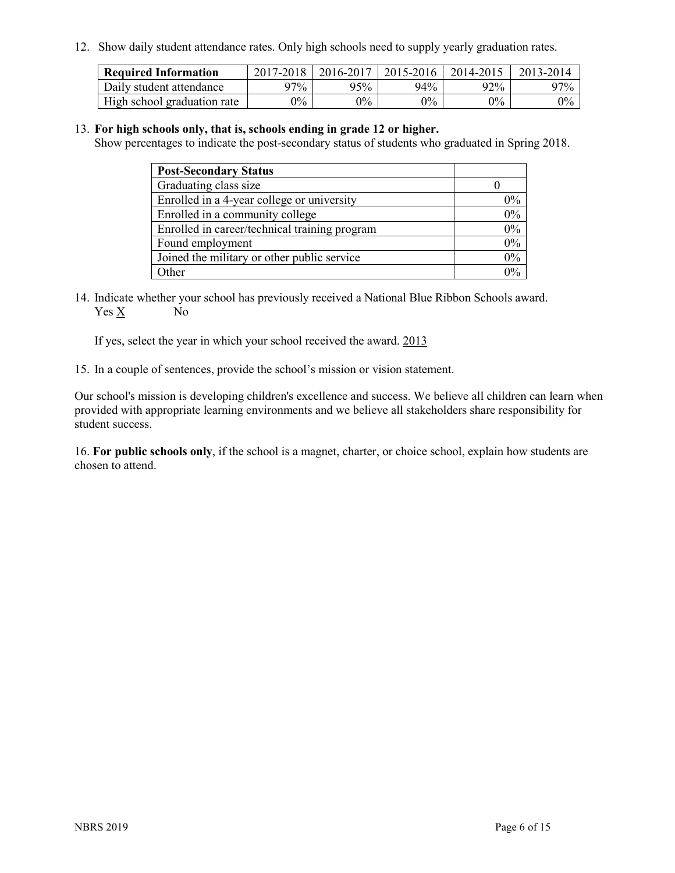12. Show daily student attendance rates. Only high schools need to supply yearly graduation rates.

| <b>Required Information</b> | 2017-2018 | 2016-2017 | 2015-2016 | 2014-2015 | 2013-2014 |
|-----------------------------|-----------|-----------|-----------|-----------|-----------|
| Daily student attendance    | 97%       | 95%       | 94%       | 92%       | $97\%$    |
| High school graduation rate | $0\%$     | $0\%$     | $0\%$     | $9\%$     | $0\%$     |

## 13. **For high schools only, that is, schools ending in grade 12 or higher.**

Show percentages to indicate the post-secondary status of students who graduated in Spring 2018.

| <b>Post-Secondary Status</b>                  |       |
|-----------------------------------------------|-------|
| Graduating class size                         |       |
| Enrolled in a 4-year college or university    | $0\%$ |
| Enrolled in a community college               | 0%    |
| Enrolled in career/technical training program | 0%    |
| Found employment                              | 0%    |
| Joined the military or other public service   | 0%    |
| Other                                         | $0\%$ |

14. Indicate whether your school has previously received a National Blue Ribbon Schools award. Yes X No

If yes, select the year in which your school received the award. 2013

15. In a couple of sentences, provide the school's mission or vision statement.

Our school's mission is developing children's excellence and success. We believe all children can learn when provided with appropriate learning environments and we believe all stakeholders share responsibility for student success.

16. **For public schools only**, if the school is a magnet, charter, or choice school, explain how students are chosen to attend.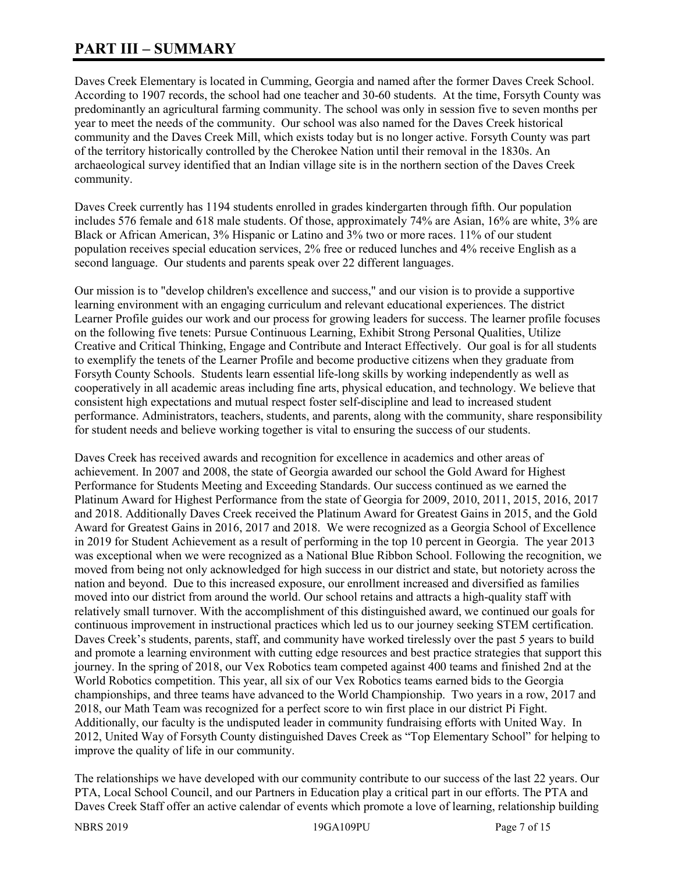# **PART III – SUMMARY**

Daves Creek Elementary is located in Cumming, Georgia and named after the former Daves Creek School. According to 1907 records, the school had one teacher and 30-60 students. At the time, Forsyth County was predominantly an agricultural farming community. The school was only in session five to seven months per year to meet the needs of the community. Our school was also named for the Daves Creek historical community and the Daves Creek Mill, which exists today but is no longer active. Forsyth County was part of the territory historically controlled by the Cherokee Nation until their removal in the 1830s. An archaeological survey identified that an Indian village site is in the northern section of the Daves Creek community.

Daves Creek currently has 1194 students enrolled in grades kindergarten through fifth. Our population includes 576 female and 618 male students. Of those, approximately 74% are Asian, 16% are white, 3% are Black or African American, 3% Hispanic or Latino and 3% two or more races. 11% of our student population receives special education services, 2% free or reduced lunches and 4% receive English as a second language. Our students and parents speak over 22 different languages.

Our mission is to "develop children's excellence and success," and our vision is to provide a supportive learning environment with an engaging curriculum and relevant educational experiences. The district Learner Profile guides our work and our process for growing leaders for success. The learner profile focuses on the following five tenets: Pursue Continuous Learning, Exhibit Strong Personal Qualities, Utilize Creative and Critical Thinking, Engage and Contribute and Interact Effectively. Our goal is for all students to exemplify the tenets of the Learner Profile and become productive citizens when they graduate from Forsyth County Schools. Students learn essential life-long skills by working independently as well as cooperatively in all academic areas including fine arts, physical education, and technology. We believe that consistent high expectations and mutual respect foster self-discipline and lead to increased student performance. Administrators, teachers, students, and parents, along with the community, share responsibility for student needs and believe working together is vital to ensuring the success of our students.

Daves Creek has received awards and recognition for excellence in academics and other areas of achievement. In 2007 and 2008, the state of Georgia awarded our school the Gold Award for Highest Performance for Students Meeting and Exceeding Standards. Our success continued as we earned the Platinum Award for Highest Performance from the state of Georgia for 2009, 2010, 2011, 2015, 2016, 2017 and 2018. Additionally Daves Creek received the Platinum Award for Greatest Gains in 2015, and the Gold Award for Greatest Gains in 2016, 2017 and 2018. We were recognized as a Georgia School of Excellence in 2019 for Student Achievement as a result of performing in the top 10 percent in Georgia. The year 2013 was exceptional when we were recognized as a National Blue Ribbon School. Following the recognition, we moved from being not only acknowledged for high success in our district and state, but notoriety across the nation and beyond. Due to this increased exposure, our enrollment increased and diversified as families moved into our district from around the world. Our school retains and attracts a high-quality staff with relatively small turnover. With the accomplishment of this distinguished award, we continued our goals for continuous improvement in instructional practices which led us to our journey seeking STEM certification. Daves Creek's students, parents, staff, and community have worked tirelessly over the past 5 years to build and promote a learning environment with cutting edge resources and best practice strategies that support this journey. In the spring of 2018, our Vex Robotics team competed against 400 teams and finished 2nd at the World Robotics competition. This year, all six of our Vex Robotics teams earned bids to the Georgia championships, and three teams have advanced to the World Championship. Two years in a row, 2017 and 2018, our Math Team was recognized for a perfect score to win first place in our district Pi Fight. Additionally, our faculty is the undisputed leader in community fundraising efforts with United Way. In 2012, United Way of Forsyth County distinguished Daves Creek as "Top Elementary School" for helping to improve the quality of life in our community.

The relationships we have developed with our community contribute to our success of the last 22 years. Our PTA, Local School Council, and our Partners in Education play a critical part in our efforts. The PTA and Daves Creek Staff offer an active calendar of events which promote a love of learning, relationship building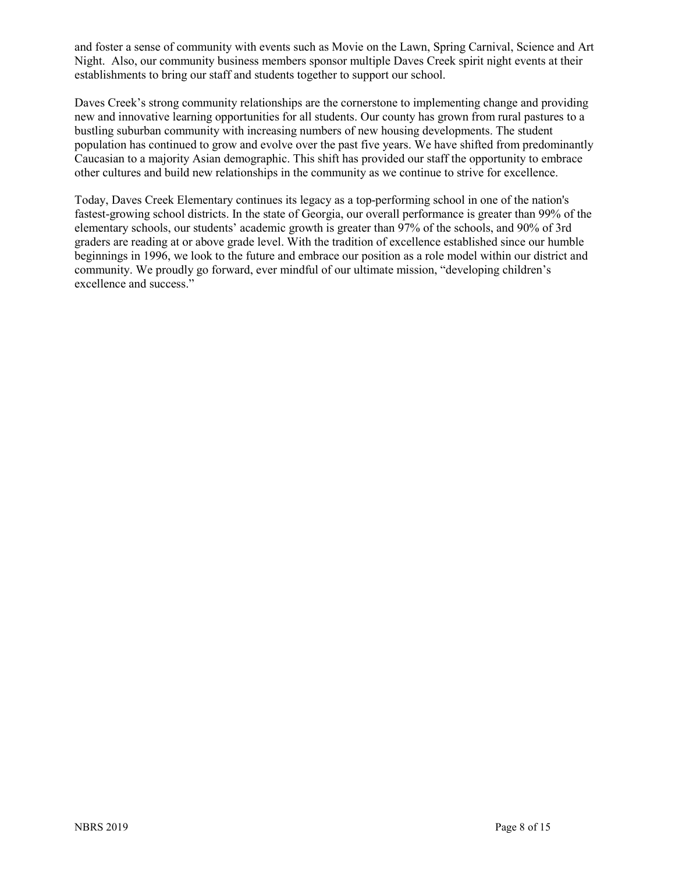and foster a sense of community with events such as Movie on the Lawn, Spring Carnival, Science and Art Night. Also, our community business members sponsor multiple Daves Creek spirit night events at their establishments to bring our staff and students together to support our school.

Daves Creek's strong community relationships are the cornerstone to implementing change and providing new and innovative learning opportunities for all students. Our county has grown from rural pastures to a bustling suburban community with increasing numbers of new housing developments. The student population has continued to grow and evolve over the past five years. We have shifted from predominantly Caucasian to a majority Asian demographic. This shift has provided our staff the opportunity to embrace other cultures and build new relationships in the community as we continue to strive for excellence.

Today, Daves Creek Elementary continues its legacy as a top-performing school in one of the nation's fastest-growing school districts. In the state of Georgia, our overall performance is greater than 99% of the elementary schools, our students' academic growth is greater than 97% of the schools, and 90% of 3rd graders are reading at or above grade level. With the tradition of excellence established since our humble beginnings in 1996, we look to the future and embrace our position as a role model within our district and community. We proudly go forward, ever mindful of our ultimate mission, "developing children's excellence and success."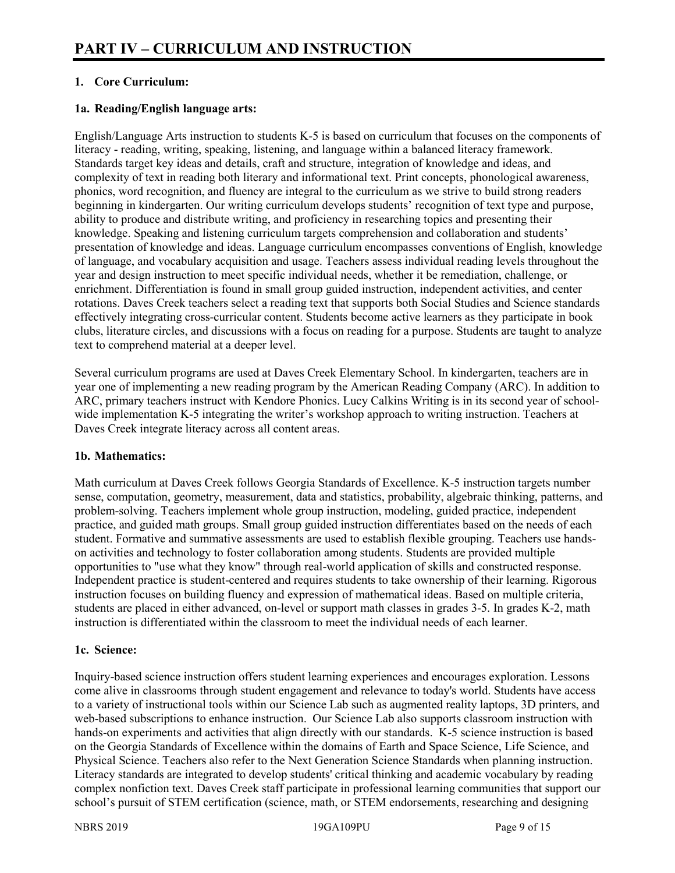# **1. Core Curriculum:**

# **1a. Reading/English language arts:**

English/Language Arts instruction to students K-5 is based on curriculum that focuses on the components of literacy - reading, writing, speaking, listening, and language within a balanced literacy framework. Standards target key ideas and details, craft and structure, integration of knowledge and ideas, and complexity of text in reading both literary and informational text. Print concepts, phonological awareness, phonics, word recognition, and fluency are integral to the curriculum as we strive to build strong readers beginning in kindergarten. Our writing curriculum develops students' recognition of text type and purpose, ability to produce and distribute writing, and proficiency in researching topics and presenting their knowledge. Speaking and listening curriculum targets comprehension and collaboration and students' presentation of knowledge and ideas. Language curriculum encompasses conventions of English, knowledge of language, and vocabulary acquisition and usage. Teachers assess individual reading levels throughout the year and design instruction to meet specific individual needs, whether it be remediation, challenge, or enrichment. Differentiation is found in small group guided instruction, independent activities, and center rotations. Daves Creek teachers select a reading text that supports both Social Studies and Science standards effectively integrating cross-curricular content. Students become active learners as they participate in book clubs, literature circles, and discussions with a focus on reading for a purpose. Students are taught to analyze text to comprehend material at a deeper level.

Several curriculum programs are used at Daves Creek Elementary School. In kindergarten, teachers are in year one of implementing a new reading program by the American Reading Company (ARC). In addition to ARC, primary teachers instruct with Kendore Phonics. Lucy Calkins Writing is in its second year of schoolwide implementation K-5 integrating the writer's workshop approach to writing instruction. Teachers at Daves Creek integrate literacy across all content areas.

## **1b. Mathematics:**

Math curriculum at Daves Creek follows Georgia Standards of Excellence. K-5 instruction targets number sense, computation, geometry, measurement, data and statistics, probability, algebraic thinking, patterns, and problem-solving. Teachers implement whole group instruction, modeling, guided practice, independent practice, and guided math groups. Small group guided instruction differentiates based on the needs of each student. Formative and summative assessments are used to establish flexible grouping. Teachers use handson activities and technology to foster collaboration among students. Students are provided multiple opportunities to "use what they know" through real-world application of skills and constructed response. Independent practice is student-centered and requires students to take ownership of their learning. Rigorous instruction focuses on building fluency and expression of mathematical ideas. Based on multiple criteria, students are placed in either advanced, on-level or support math classes in grades 3-5. In grades K-2, math instruction is differentiated within the classroom to meet the individual needs of each learner.

## **1c. Science:**

Inquiry-based science instruction offers student learning experiences and encourages exploration. Lessons come alive in classrooms through student engagement and relevance to today's world. Students have access to a variety of instructional tools within our Science Lab such as augmented reality laptops, 3D printers, and web-based subscriptions to enhance instruction. Our Science Lab also supports classroom instruction with hands-on experiments and activities that align directly with our standards. K-5 science instruction is based on the Georgia Standards of Excellence within the domains of Earth and Space Science, Life Science, and Physical Science. Teachers also refer to the Next Generation Science Standards when planning instruction. Literacy standards are integrated to develop students' critical thinking and academic vocabulary by reading complex nonfiction text. Daves Creek staff participate in professional learning communities that support our school's pursuit of STEM certification (science, math, or STEM endorsements, researching and designing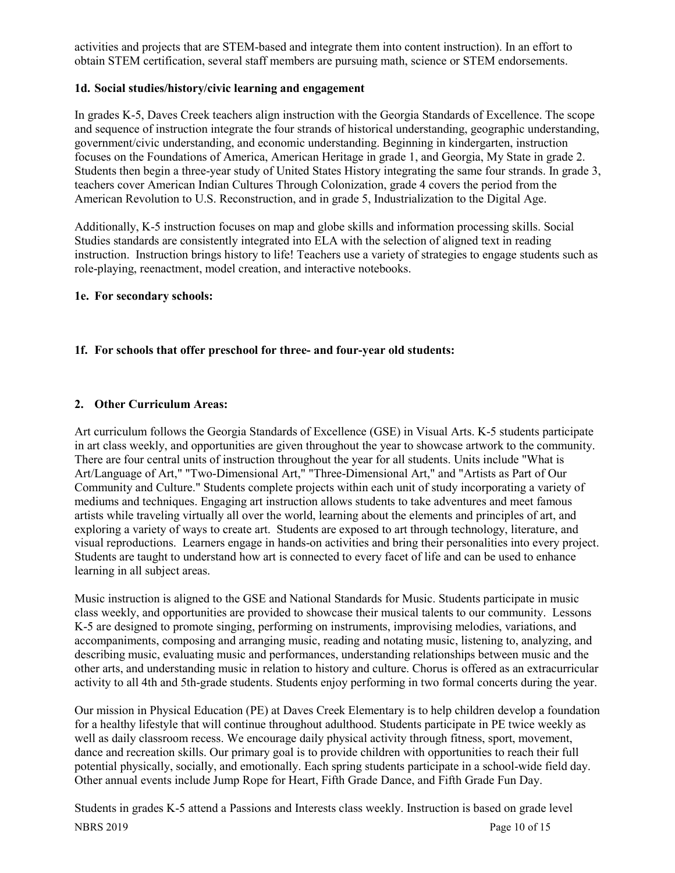activities and projects that are STEM-based and integrate them into content instruction). In an effort to obtain STEM certification, several staff members are pursuing math, science or STEM endorsements.

# **1d. Social studies/history/civic learning and engagement**

In grades K-5, Daves Creek teachers align instruction with the Georgia Standards of Excellence. The scope and sequence of instruction integrate the four strands of historical understanding, geographic understanding, government/civic understanding, and economic understanding. Beginning in kindergarten, instruction focuses on the Foundations of America, American Heritage in grade 1, and Georgia, My State in grade 2. Students then begin a three-year study of United States History integrating the same four strands. In grade 3, teachers cover American Indian Cultures Through Colonization, grade 4 covers the period from the American Revolution to U.S. Reconstruction, and in grade 5, Industrialization to the Digital Age.

Additionally, K-5 instruction focuses on map and globe skills and information processing skills. Social Studies standards are consistently integrated into ELA with the selection of aligned text in reading instruction. Instruction brings history to life! Teachers use a variety of strategies to engage students such as role-playing, reenactment, model creation, and interactive notebooks.

## **1e. For secondary schools:**

# **1f. For schools that offer preschool for three- and four-year old students:**

# **2. Other Curriculum Areas:**

Art curriculum follows the Georgia Standards of Excellence (GSE) in Visual Arts. K-5 students participate in art class weekly, and opportunities are given throughout the year to showcase artwork to the community. There are four central units of instruction throughout the year for all students. Units include "What is Art/Language of Art," "Two-Dimensional Art," "Three-Dimensional Art," and "Artists as Part of Our Community and Culture." Students complete projects within each unit of study incorporating a variety of mediums and techniques. Engaging art instruction allows students to take adventures and meet famous artists while traveling virtually all over the world, learning about the elements and principles of art, and exploring a variety of ways to create art. Students are exposed to art through technology, literature, and visual reproductions. Learners engage in hands-on activities and bring their personalities into every project. Students are taught to understand how art is connected to every facet of life and can be used to enhance learning in all subject areas.

Music instruction is aligned to the GSE and National Standards for Music. Students participate in music class weekly, and opportunities are provided to showcase their musical talents to our community. Lessons K-5 are designed to promote singing, performing on instruments, improvising melodies, variations, and accompaniments, composing and arranging music, reading and notating music, listening to, analyzing, and describing music, evaluating music and performances, understanding relationships between music and the other arts, and understanding music in relation to history and culture. Chorus is offered as an extracurricular activity to all 4th and 5th-grade students. Students enjoy performing in two formal concerts during the year.

Our mission in Physical Education (PE) at Daves Creek Elementary is to help children develop a foundation for a healthy lifestyle that will continue throughout adulthood. Students participate in PE twice weekly as well as daily classroom recess. We encourage daily physical activity through fitness, sport, movement, dance and recreation skills. Our primary goal is to provide children with opportunities to reach their full potential physically, socially, and emotionally. Each spring students participate in a school-wide field day. Other annual events include Jump Rope for Heart, Fifth Grade Dance, and Fifth Grade Fun Day.

NBRS 2019 Page 10 of 15 Students in grades K-5 attend a Passions and Interests class weekly. Instruction is based on grade level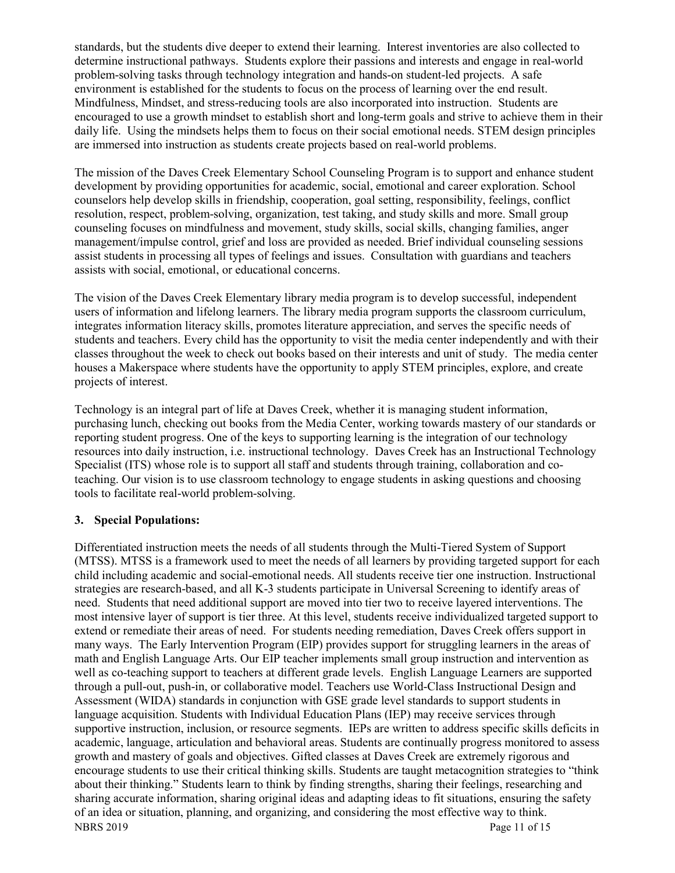standards, but the students dive deeper to extend their learning. Interest inventories are also collected to determine instructional pathways. Students explore their passions and interests and engage in real-world problem-solving tasks through technology integration and hands-on student-led projects. A safe environment is established for the students to focus on the process of learning over the end result. Mindfulness, Mindset, and stress-reducing tools are also incorporated into instruction. Students are encouraged to use a growth mindset to establish short and long-term goals and strive to achieve them in their daily life. Using the mindsets helps them to focus on their social emotional needs. STEM design principles are immersed into instruction as students create projects based on real-world problems.

The mission of the Daves Creek Elementary School Counseling Program is to support and enhance student development by providing opportunities for academic, social, emotional and career exploration. School counselors help develop skills in friendship, cooperation, goal setting, responsibility, feelings, conflict resolution, respect, problem-solving, organization, test taking, and study skills and more. Small group counseling focuses on mindfulness and movement, study skills, social skills, changing families, anger management/impulse control, grief and loss are provided as needed. Brief individual counseling sessions assist students in processing all types of feelings and issues. Consultation with guardians and teachers assists with social, emotional, or educational concerns.

The vision of the Daves Creek Elementary library media program is to develop successful, independent users of information and lifelong learners. The library media program supports the classroom curriculum, integrates information literacy skills, promotes literature appreciation, and serves the specific needs of students and teachers. Every child has the opportunity to visit the media center independently and with their classes throughout the week to check out books based on their interests and unit of study. The media center houses a Makerspace where students have the opportunity to apply STEM principles, explore, and create projects of interest.

Technology is an integral part of life at Daves Creek, whether it is managing student information, purchasing lunch, checking out books from the Media Center, working towards mastery of our standards or reporting student progress. One of the keys to supporting learning is the integration of our technology resources into daily instruction, i.e. instructional technology. Daves Creek has an Instructional Technology Specialist (ITS) whose role is to support all staff and students through training, collaboration and coteaching. Our vision is to use classroom technology to engage students in asking questions and choosing tools to facilitate real-world problem-solving.

## **3. Special Populations:**

NBRS 2019 Page 11 of 15 Differentiated instruction meets the needs of all students through the Multi-Tiered System of Support (MTSS). MTSS is a framework used to meet the needs of all learners by providing targeted support for each child including academic and social-emotional needs. All students receive tier one instruction. Instructional strategies are research-based, and all K-3 students participate in Universal Screening to identify areas of need. Students that need additional support are moved into tier two to receive layered interventions. The most intensive layer of support is tier three. At this level, students receive individualized targeted support to extend or remediate their areas of need. For students needing remediation, Daves Creek offers support in many ways. The Early Intervention Program (EIP) provides support for struggling learners in the areas of math and English Language Arts. Our EIP teacher implements small group instruction and intervention as well as co-teaching support to teachers at different grade levels. English Language Learners are supported through a pull-out, push-in, or collaborative model. Teachers use World-Class Instructional Design and Assessment (WIDA) standards in conjunction with GSE grade level standards to support students in language acquisition. Students with Individual Education Plans (IEP) may receive services through supportive instruction, inclusion, or resource segments. IEPs are written to address specific skills deficits in academic, language, articulation and behavioral areas. Students are continually progress monitored to assess growth and mastery of goals and objectives. Gifted classes at Daves Creek are extremely rigorous and encourage students to use their critical thinking skills. Students are taught metacognition strategies to "think about their thinking." Students learn to think by finding strengths, sharing their feelings, researching and sharing accurate information, sharing original ideas and adapting ideas to fit situations, ensuring the safety of an idea or situation, planning, and organizing, and considering the most effective way to think.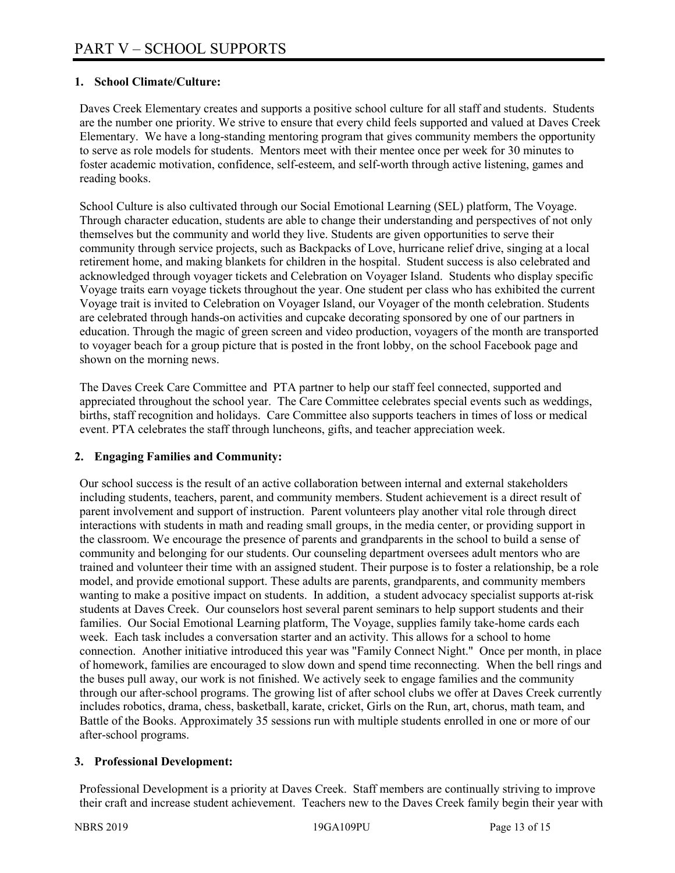# **1. School Climate/Culture:**

Daves Creek Elementary creates and supports a positive school culture for all staff and students. Students are the number one priority. We strive to ensure that every child feels supported and valued at Daves Creek Elementary. We have a long-standing mentoring program that gives community members the opportunity to serve as role models for students. Mentors meet with their mentee once per week for 30 minutes to foster academic motivation, confidence, self-esteem, and self-worth through active listening, games and reading books.

School Culture is also cultivated through our Social Emotional Learning (SEL) platform, The Voyage. Through character education, students are able to change their understanding and perspectives of not only themselves but the community and world they live. Students are given opportunities to serve their community through service projects, such as Backpacks of Love, hurricane relief drive, singing at a local retirement home, and making blankets for children in the hospital. Student success is also celebrated and acknowledged through voyager tickets and Celebration on Voyager Island. Students who display specific Voyage traits earn voyage tickets throughout the year. One student per class who has exhibited the current Voyage trait is invited to Celebration on Voyager Island, our Voyager of the month celebration. Students are celebrated through hands-on activities and cupcake decorating sponsored by one of our partners in education. Through the magic of green screen and video production, voyagers of the month are transported to voyager beach for a group picture that is posted in the front lobby, on the school Facebook page and shown on the morning news.

The Daves Creek Care Committee and PTA partner to help our staff feel connected, supported and appreciated throughout the school year. The Care Committee celebrates special events such as weddings, births, staff recognition and holidays. Care Committee also supports teachers in times of loss or medical event. PTA celebrates the staff through luncheons, gifts, and teacher appreciation week.

## **2. Engaging Families and Community:**

Our school success is the result of an active collaboration between internal and external stakeholders including students, teachers, parent, and community members. Student achievement is a direct result of parent involvement and support of instruction. Parent volunteers play another vital role through direct interactions with students in math and reading small groups, in the media center, or providing support in the classroom. We encourage the presence of parents and grandparents in the school to build a sense of community and belonging for our students. Our counseling department oversees adult mentors who are trained and volunteer their time with an assigned student. Their purpose is to foster a relationship, be a role model, and provide emotional support. These adults are parents, grandparents, and community members wanting to make a positive impact on students. In addition, a student advocacy specialist supports at-risk students at Daves Creek. Our counselors host several parent seminars to help support students and their families. Our Social Emotional Learning platform, The Voyage, supplies family take-home cards each week. Each task includes a conversation starter and an activity. This allows for a school to home connection. Another initiative introduced this year was "Family Connect Night." Once per month, in place of homework, families are encouraged to slow down and spend time reconnecting. When the bell rings and the buses pull away, our work is not finished. We actively seek to engage families and the community through our after-school programs. The growing list of after school clubs we offer at Daves Creek currently includes robotics, drama, chess, basketball, karate, cricket, Girls on the Run, art, chorus, math team, and Battle of the Books. Approximately 35 sessions run with multiple students enrolled in one or more of our after-school programs.

## **3. Professional Development:**

Professional Development is a priority at Daves Creek. Staff members are continually striving to improve their craft and increase student achievement. Teachers new to the Daves Creek family begin their year with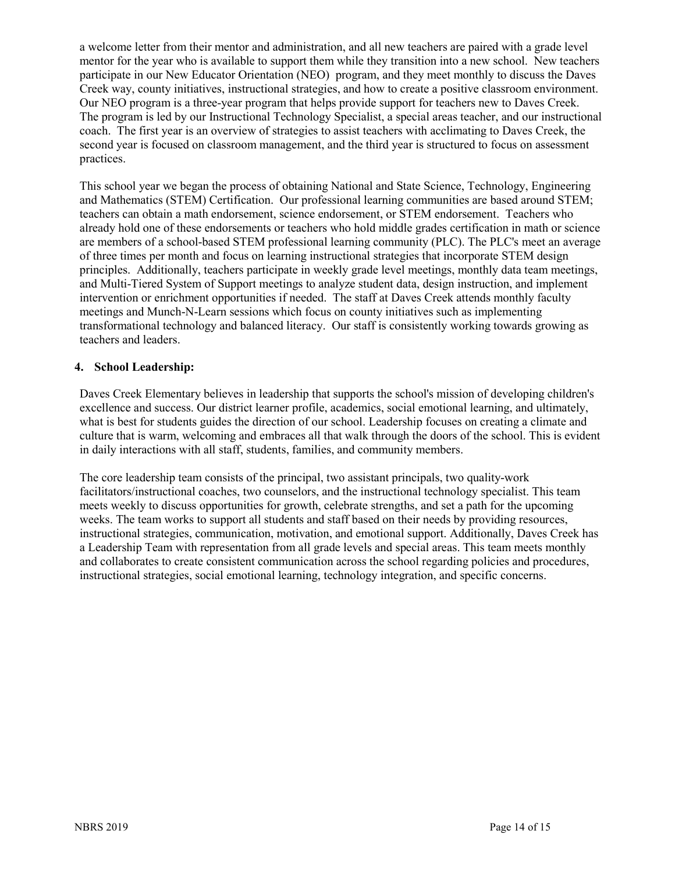a welcome letter from their mentor and administration, and all new teachers are paired with a grade level mentor for the year who is available to support them while they transition into a new school. New teachers participate in our New Educator Orientation (NEO) program, and they meet monthly to discuss the Daves Creek way, county initiatives, instructional strategies, and how to create a positive classroom environment. Our NEO program is a three-year program that helps provide support for teachers new to Daves Creek. The program is led by our Instructional Technology Specialist, a special areas teacher, and our instructional coach. The first year is an overview of strategies to assist teachers with acclimating to Daves Creek, the second year is focused on classroom management, and the third year is structured to focus on assessment practices.

This school year we began the process of obtaining National and State Science, Technology, Engineering and Mathematics (STEM) Certification. Our professional learning communities are based around STEM; teachers can obtain a math endorsement, science endorsement, or STEM endorsement. Teachers who already hold one of these endorsements or teachers who hold middle grades certification in math or science are members of a school-based STEM professional learning community (PLC). The PLC's meet an average of three times per month and focus on learning instructional strategies that incorporate STEM design principles. Additionally, teachers participate in weekly grade level meetings, monthly data team meetings, and Multi-Tiered System of Support meetings to analyze student data, design instruction, and implement intervention or enrichment opportunities if needed. The staff at Daves Creek attends monthly faculty meetings and Munch-N-Learn sessions which focus on county initiatives such as implementing transformational technology and balanced literacy. Our staff is consistently working towards growing as teachers and leaders.

# **4. School Leadership:**

Daves Creek Elementary believes in leadership that supports the school's mission of developing children's excellence and success. Our district learner profile, academics, social emotional learning, and ultimately, what is best for students guides the direction of our school. Leadership focuses on creating a climate and culture that is warm, welcoming and embraces all that walk through the doors of the school. This is evident in daily interactions with all staff, students, families, and community members.

The core leadership team consists of the principal, two assistant principals, two quality-work facilitators/instructional coaches, two counselors, and the instructional technology specialist. This team meets weekly to discuss opportunities for growth, celebrate strengths, and set a path for the upcoming weeks. The team works to support all students and staff based on their needs by providing resources, instructional strategies, communication, motivation, and emotional support. Additionally, Daves Creek has a Leadership Team with representation from all grade levels and special areas. This team meets monthly and collaborates to create consistent communication across the school regarding policies and procedures, instructional strategies, social emotional learning, technology integration, and specific concerns.